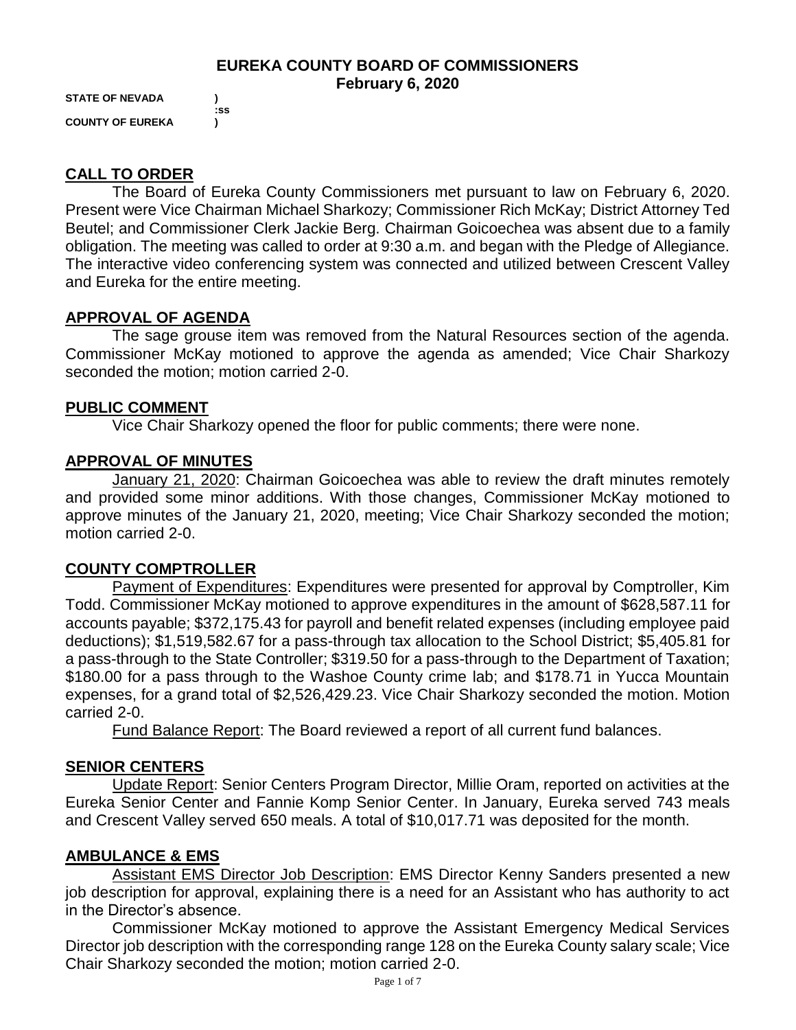## **EUREKA COUNTY BOARD OF COMMISSIONERS February 6, 2020**

**STATE OF NEVADA ) COUNTY OF EUREKA )**

 **:ss**

# **CALL TO ORDER**

The Board of Eureka County Commissioners met pursuant to law on February 6, 2020. Present were Vice Chairman Michael Sharkozy; Commissioner Rich McKay; District Attorney Ted Beutel; and Commissioner Clerk Jackie Berg. Chairman Goicoechea was absent due to a family obligation. The meeting was called to order at 9:30 a.m. and began with the Pledge of Allegiance. The interactive video conferencing system was connected and utilized between Crescent Valley and Eureka for the entire meeting.

## **APPROVAL OF AGENDA**

The sage grouse item was removed from the Natural Resources section of the agenda. Commissioner McKay motioned to approve the agenda as amended; Vice Chair Sharkozy seconded the motion; motion carried 2-0.

## **PUBLIC COMMENT**

Vice Chair Sharkozy opened the floor for public comments; there were none.

## **APPROVAL OF MINUTES**

January 21, 2020: Chairman Goicoechea was able to review the draft minutes remotely and provided some minor additions. With those changes, Commissioner McKay motioned to approve minutes of the January 21, 2020, meeting; Vice Chair Sharkozy seconded the motion; motion carried 2-0.

# **COUNTY COMPTROLLER**

Payment of Expenditures: Expenditures were presented for approval by Comptroller, Kim Todd. Commissioner McKay motioned to approve expenditures in the amount of \$628,587.11 for accounts payable; \$372,175.43 for payroll and benefit related expenses (including employee paid deductions); \$1,519,582.67 for a pass-through tax allocation to the School District; \$5,405.81 for a pass-through to the State Controller; \$319.50 for a pass-through to the Department of Taxation; \$180.00 for a pass through to the Washoe County crime lab; and \$178.71 in Yucca Mountain expenses, for a grand total of \$2,526,429.23. Vice Chair Sharkozy seconded the motion. Motion carried 2-0.

Fund Balance Report: The Board reviewed a report of all current fund balances.

# **SENIOR CENTERS**

Update Report: Senior Centers Program Director, Millie Oram, reported on activities at the Eureka Senior Center and Fannie Komp Senior Center. In January, Eureka served 743 meals and Crescent Valley served 650 meals. A total of \$10,017.71 was deposited for the month.

### **AMBULANCE & EMS**

Assistant EMS Director Job Description: EMS Director Kenny Sanders presented a new job description for approval, explaining there is a need for an Assistant who has authority to act in the Director's absence.

Commissioner McKay motioned to approve the Assistant Emergency Medical Services Director job description with the corresponding range 128 on the Eureka County salary scale; Vice Chair Sharkozy seconded the motion; motion carried 2-0.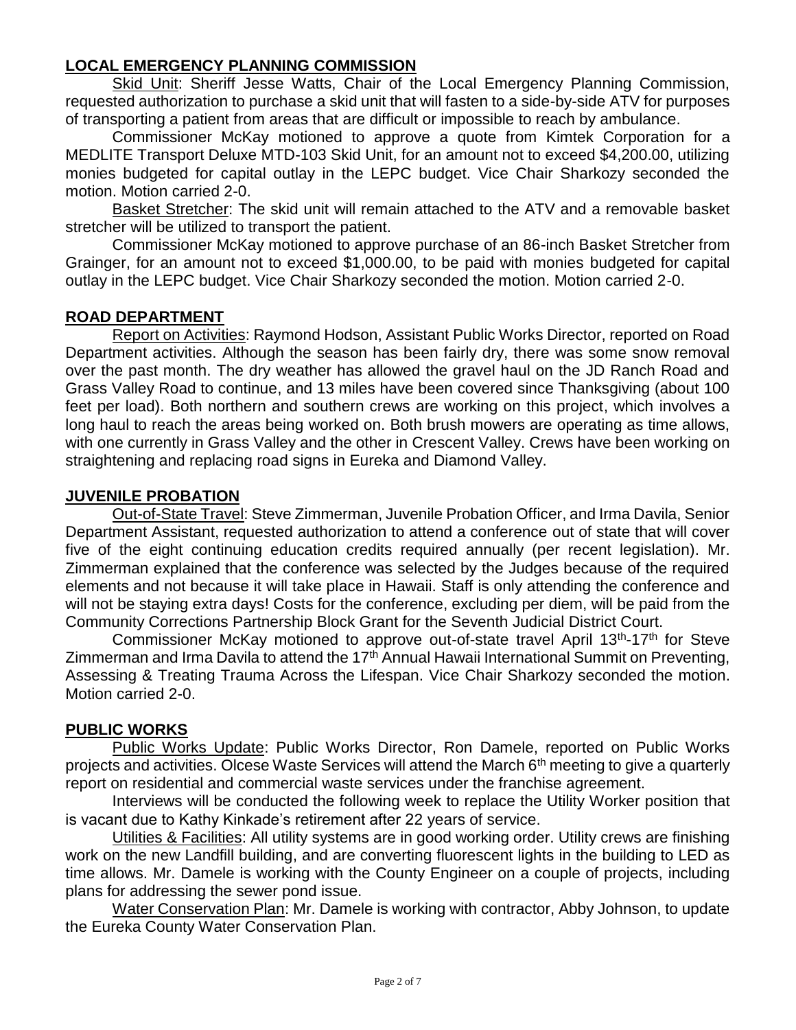#### **LOCAL EMERGENCY PLANNING COMMISSION**

Skid Unit: Sheriff Jesse Watts, Chair of the Local Emergency Planning Commission, requested authorization to purchase a skid unit that will fasten to a side-by-side ATV for purposes of transporting a patient from areas that are difficult or impossible to reach by ambulance.

Commissioner McKay motioned to approve a quote from Kimtek Corporation for a MEDLITE Transport Deluxe MTD-103 Skid Unit, for an amount not to exceed \$4,200.00, utilizing monies budgeted for capital outlay in the LEPC budget. Vice Chair Sharkozy seconded the motion. Motion carried 2-0.

Basket Stretcher: The skid unit will remain attached to the ATV and a removable basket stretcher will be utilized to transport the patient.

Commissioner McKay motioned to approve purchase of an 86-inch Basket Stretcher from Grainger, for an amount not to exceed \$1,000.00, to be paid with monies budgeted for capital outlay in the LEPC budget. Vice Chair Sharkozy seconded the motion. Motion carried 2-0.

#### **ROAD DEPARTMENT**

Report on Activities: Raymond Hodson, Assistant Public Works Director, reported on Road Department activities. Although the season has been fairly dry, there was some snow removal over the past month. The dry weather has allowed the gravel haul on the JD Ranch Road and Grass Valley Road to continue, and 13 miles have been covered since Thanksgiving (about 100 feet per load). Both northern and southern crews are working on this project, which involves a long haul to reach the areas being worked on. Both brush mowers are operating as time allows, with one currently in Grass Valley and the other in Crescent Valley. Crews have been working on straightening and replacing road signs in Eureka and Diamond Valley.

#### **JUVENILE PROBATION**

Out-of-State Travel: Steve Zimmerman, Juvenile Probation Officer, and Irma Davila, Senior Department Assistant, requested authorization to attend a conference out of state that will cover five of the eight continuing education credits required annually (per recent legislation). Mr. Zimmerman explained that the conference was selected by the Judges because of the required elements and not because it will take place in Hawaii. Staff is only attending the conference and will not be staying extra days! Costs for the conference, excluding per diem, will be paid from the Community Corrections Partnership Block Grant for the Seventh Judicial District Court.

Commissioner McKay motioned to approve out-of-state travel April 13<sup>th</sup>-17<sup>th</sup> for Steve Zimmerman and Irma Davila to attend the 17<sup>th</sup> Annual Hawaii International Summit on Preventing, Assessing & Treating Trauma Across the Lifespan. Vice Chair Sharkozy seconded the motion. Motion carried 2-0.

#### **PUBLIC WORKS**

Public Works Update: Public Works Director, Ron Damele, reported on Public Works projects and activities. Olcese Waste Services will attend the March 6<sup>th</sup> meeting to give a quarterly report on residential and commercial waste services under the franchise agreement.

Interviews will be conducted the following week to replace the Utility Worker position that is vacant due to Kathy Kinkade's retirement after 22 years of service.

Utilities & Facilities: All utility systems are in good working order. Utility crews are finishing work on the new Landfill building, and are converting fluorescent lights in the building to LED as time allows. Mr. Damele is working with the County Engineer on a couple of projects, including plans for addressing the sewer pond issue.

Water Conservation Plan: Mr. Damele is working with contractor, Abby Johnson, to update the Eureka County Water Conservation Plan.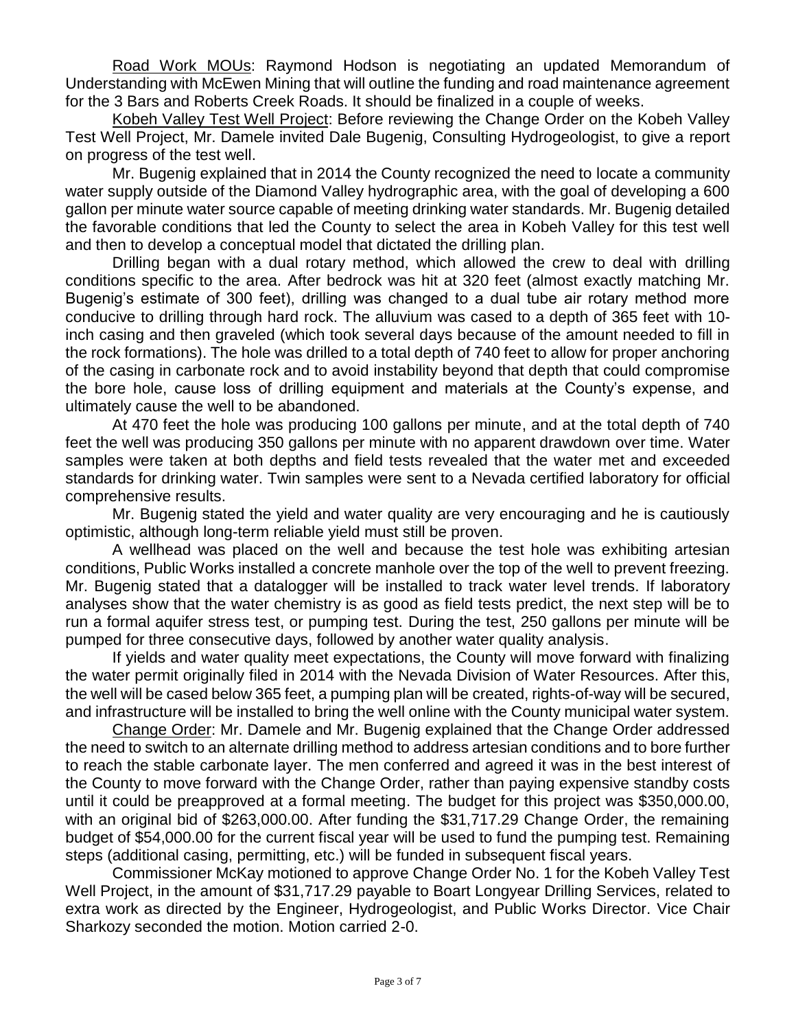Road Work MOUs: Raymond Hodson is negotiating an updated Memorandum of Understanding with McEwen Mining that will outline the funding and road maintenance agreement for the 3 Bars and Roberts Creek Roads. It should be finalized in a couple of weeks.

Kobeh Valley Test Well Project: Before reviewing the Change Order on the Kobeh Valley Test Well Project, Mr. Damele invited Dale Bugenig, Consulting Hydrogeologist, to give a report on progress of the test well.

Mr. Bugenig explained that in 2014 the County recognized the need to locate a community water supply outside of the Diamond Valley hydrographic area, with the goal of developing a 600 gallon per minute water source capable of meeting drinking water standards. Mr. Bugenig detailed the favorable conditions that led the County to select the area in Kobeh Valley for this test well and then to develop a conceptual model that dictated the drilling plan.

Drilling began with a dual rotary method, which allowed the crew to deal with drilling conditions specific to the area. After bedrock was hit at 320 feet (almost exactly matching Mr. Bugenig's estimate of 300 feet), drilling was changed to a dual tube air rotary method more conducive to drilling through hard rock. The alluvium was cased to a depth of 365 feet with 10 inch casing and then graveled (which took several days because of the amount needed to fill in the rock formations). The hole was drilled to a total depth of 740 feet to allow for proper anchoring of the casing in carbonate rock and to avoid instability beyond that depth that could compromise the bore hole, cause loss of drilling equipment and materials at the County's expense, and ultimately cause the well to be abandoned.

At 470 feet the hole was producing 100 gallons per minute, and at the total depth of 740 feet the well was producing 350 gallons per minute with no apparent drawdown over time. Water samples were taken at both depths and field tests revealed that the water met and exceeded standards for drinking water. Twin samples were sent to a Nevada certified laboratory for official comprehensive results.

Mr. Bugenig stated the yield and water quality are very encouraging and he is cautiously optimistic, although long-term reliable yield must still be proven.

A wellhead was placed on the well and because the test hole was exhibiting artesian conditions, Public Works installed a concrete manhole over the top of the well to prevent freezing. Mr. Bugenig stated that a datalogger will be installed to track water level trends. If laboratory analyses show that the water chemistry is as good as field tests predict, the next step will be to run a formal aquifer stress test, or pumping test. During the test, 250 gallons per minute will be pumped for three consecutive days, followed by another water quality analysis.

If yields and water quality meet expectations, the County will move forward with finalizing the water permit originally filed in 2014 with the Nevada Division of Water Resources. After this, the well will be cased below 365 feet, a pumping plan will be created, rights-of-way will be secured, and infrastructure will be installed to bring the well online with the County municipal water system.

Change Order: Mr. Damele and Mr. Bugenig explained that the Change Order addressed the need to switch to an alternate drilling method to address artesian conditions and to bore further to reach the stable carbonate layer. The men conferred and agreed it was in the best interest of the County to move forward with the Change Order, rather than paying expensive standby costs until it could be preapproved at a formal meeting. The budget for this project was \$350,000.00, with an original bid of \$263,000.00. After funding the \$31,717.29 Change Order, the remaining budget of \$54,000.00 for the current fiscal year will be used to fund the pumping test. Remaining steps (additional casing, permitting, etc.) will be funded in subsequent fiscal years.

Commissioner McKay motioned to approve Change Order No. 1 for the Kobeh Valley Test Well Project, in the amount of \$31,717.29 payable to Boart Longyear Drilling Services, related to extra work as directed by the Engineer, Hydrogeologist, and Public Works Director. Vice Chair Sharkozy seconded the motion. Motion carried 2-0.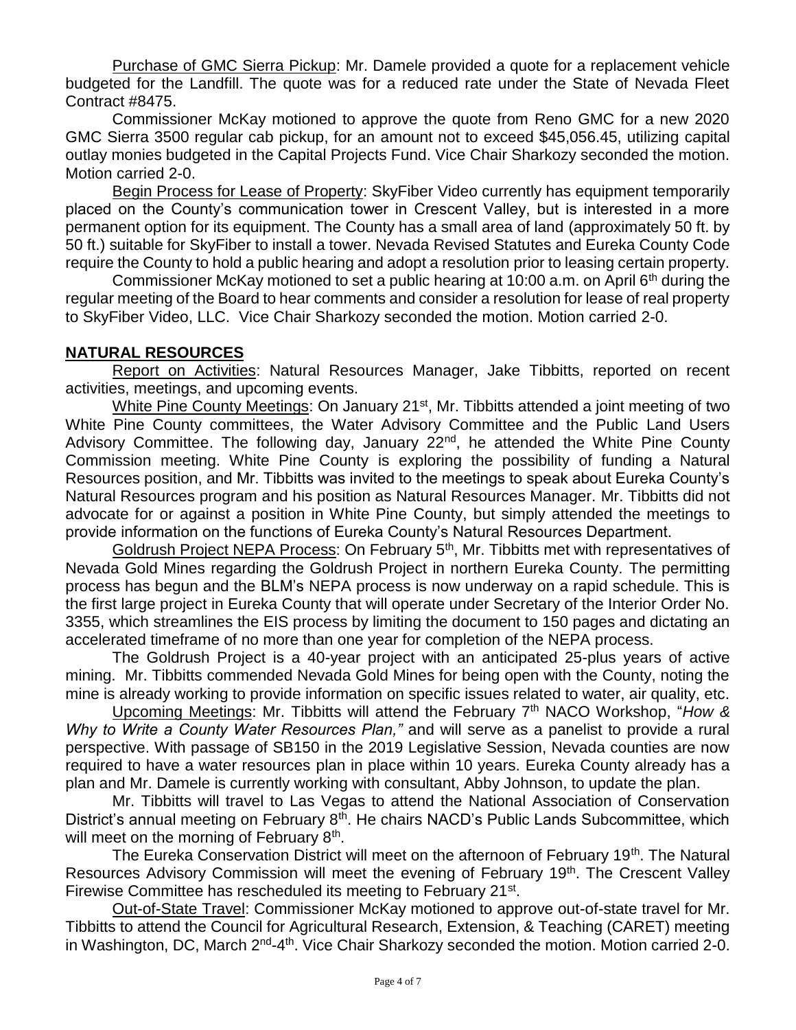Purchase of GMC Sierra Pickup: Mr. Damele provided a quote for a replacement vehicle budgeted for the Landfill. The quote was for a reduced rate under the State of Nevada Fleet Contract #8475.

Commissioner McKay motioned to approve the quote from Reno GMC for a new 2020 GMC Sierra 3500 regular cab pickup, for an amount not to exceed \$45,056.45, utilizing capital outlay monies budgeted in the Capital Projects Fund. Vice Chair Sharkozy seconded the motion. Motion carried 2-0.

Begin Process for Lease of Property: SkyFiber Video currently has equipment temporarily placed on the County's communication tower in Crescent Valley, but is interested in a more permanent option for its equipment. The County has a small area of land (approximately 50 ft. by 50 ft.) suitable for SkyFiber to install a tower. Nevada Revised Statutes and Eureka County Code require the County to hold a public hearing and adopt a resolution prior to leasing certain property.

Commissioner McKay motioned to set a public hearing at 10:00 a.m. on April  $6<sup>th</sup>$  during the regular meeting of the Board to hear comments and consider a resolution for lease of real property to SkyFiber Video, LLC. Vice Chair Sharkozy seconded the motion. Motion carried 2-0.

## **NATURAL RESOURCES**

Report on Activities: Natural Resources Manager, Jake Tibbitts, reported on recent activities, meetings, and upcoming events.

White Pine County Meetings: On January 21<sup>st</sup>, Mr. Tibbitts attended a joint meeting of two White Pine County committees, the Water Advisory Committee and the Public Land Users Advisory Committee. The following day, January 22<sup>nd</sup>, he attended the White Pine County Commission meeting. White Pine County is exploring the possibility of funding a Natural Resources position, and Mr. Tibbitts was invited to the meetings to speak about Eureka County's Natural Resources program and his position as Natural Resources Manager. Mr. Tibbitts did not advocate for or against a position in White Pine County, but simply attended the meetings to provide information on the functions of Eureka County's Natural Resources Department.

Goldrush Project NEPA Process: On February 5<sup>th</sup>, Mr. Tibbitts met with representatives of Nevada Gold Mines regarding the Goldrush Project in northern Eureka County. The permitting process has begun and the BLM's NEPA process is now underway on a rapid schedule. This is the first large project in Eureka County that will operate under Secretary of the Interior Order No. 3355, which streamlines the EIS process by limiting the document to 150 pages and dictating an accelerated timeframe of no more than one year for completion of the NEPA process.

The Goldrush Project is a 40-year project with an anticipated 25-plus years of active mining. Mr. Tibbitts commended Nevada Gold Mines for being open with the County, noting the mine is already working to provide information on specific issues related to water, air quality, etc.

Upcoming Meetings: Mr. Tibbitts will attend the February 7th NACO Workshop, "*How & Why to Write a County Water Resources Plan,"* and will serve as a panelist to provide a rural perspective. With passage of SB150 in the 2019 Legislative Session, Nevada counties are now required to have a water resources plan in place within 10 years. Eureka County already has a plan and Mr. Damele is currently working with consultant, Abby Johnson, to update the plan.

Mr. Tibbitts will travel to Las Vegas to attend the National Association of Conservation District's annual meeting on February 8<sup>th</sup>. He chairs NACD's Public Lands Subcommittee, which will meet on the morning of February 8<sup>th</sup>.

The Eureka Conservation District will meet on the afternoon of February 19<sup>th</sup>. The Natural Resources Advisory Commission will meet the evening of February 19<sup>th</sup>. The Crescent Valley Firewise Committee has rescheduled its meeting to February 21<sup>st</sup>.

Out-of-State Travel: Commissioner McKay motioned to approve out-of-state travel for Mr. Tibbitts to attend the Council for Agricultural Research, Extension, & Teaching (CARET) meeting in Washington, DC, March 2<sup>nd</sup>-4<sup>th</sup>. Vice Chair Sharkozy seconded the motion. Motion carried 2-0.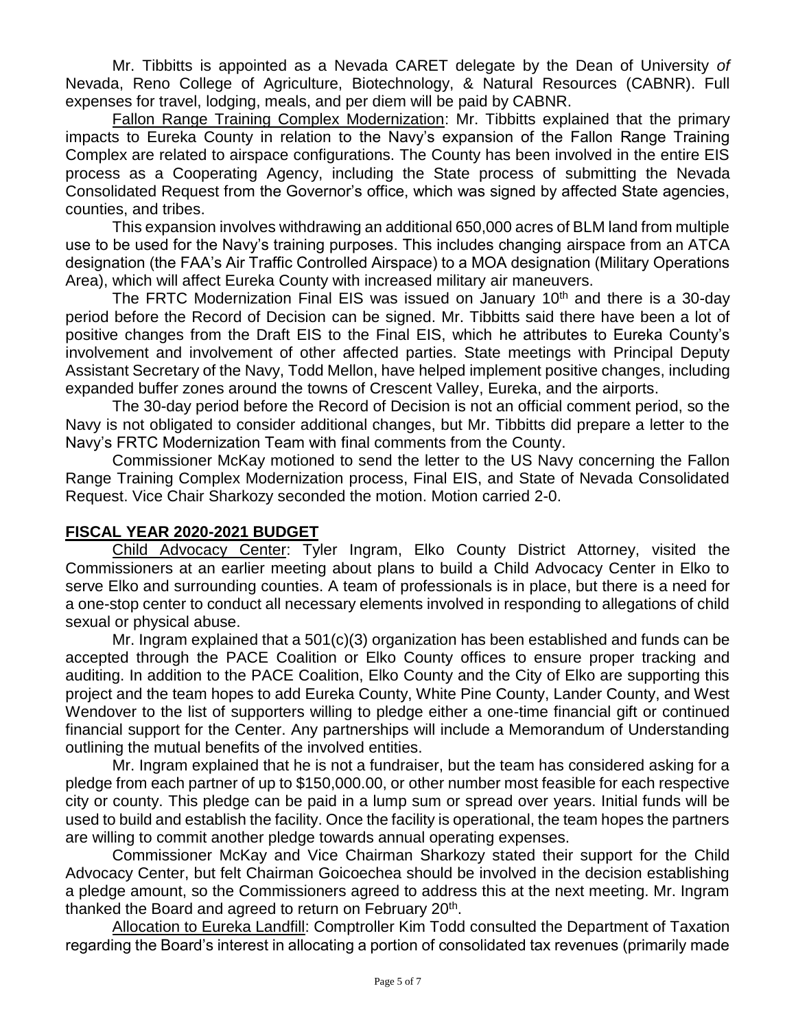Mr. Tibbitts is appointed as a Nevada CARET delegate by the Dean of University *of*  Nevada, Reno College of Agriculture, Biotechnology, & Natural Resources (CABNR). Full expenses for travel, lodging, meals, and per diem will be paid by CABNR.

Fallon Range Training Complex Modernization: Mr. Tibbitts explained that the primary impacts to Eureka County in relation to the Navy's expansion of the Fallon Range Training Complex are related to airspace configurations. The County has been involved in the entire EIS process as a Cooperating Agency, including the State process of submitting the Nevada Consolidated Request from the Governor's office, which was signed by affected State agencies, counties, and tribes.

This expansion involves withdrawing an additional 650,000 acres of BLM land from multiple use to be used for the Navy's training purposes. This includes changing airspace from an ATCA designation (the FAA's Air Traffic Controlled Airspace) to a MOA designation (Military Operations Area), which will affect Eureka County with increased military air maneuvers.

The FRTC Modernization Final EIS was issued on January  $10<sup>th</sup>$  and there is a 30-day period before the Record of Decision can be signed. Mr. Tibbitts said there have been a lot of positive changes from the Draft EIS to the Final EIS, which he attributes to Eureka County's involvement and involvement of other affected parties. State meetings with Principal Deputy Assistant Secretary of the Navy, Todd Mellon, have helped implement positive changes, including expanded buffer zones around the towns of Crescent Valley, Eureka, and the airports.

The 30-day period before the Record of Decision is not an official comment period, so the Navy is not obligated to consider additional changes, but Mr. Tibbitts did prepare a letter to the Navy's FRTC Modernization Team with final comments from the County.

Commissioner McKay motioned to send the letter to the US Navy concerning the Fallon Range Training Complex Modernization process, Final EIS, and State of Nevada Consolidated Request. Vice Chair Sharkozy seconded the motion. Motion carried 2-0.

### **FISCAL YEAR 2020-2021 BUDGET**

Child Advocacy Center: Tyler Ingram, Elko County District Attorney, visited the Commissioners at an earlier meeting about plans to build a Child Advocacy Center in Elko to serve Elko and surrounding counties. A team of professionals is in place, but there is a need for a one-stop center to conduct all necessary elements involved in responding to allegations of child sexual or physical abuse.

Mr. Ingram explained that a 501(c)(3) organization has been established and funds can be accepted through the PACE Coalition or Elko County offices to ensure proper tracking and auditing. In addition to the PACE Coalition, Elko County and the City of Elko are supporting this project and the team hopes to add Eureka County, White Pine County, Lander County, and West Wendover to the list of supporters willing to pledge either a one-time financial gift or continued financial support for the Center. Any partnerships will include a Memorandum of Understanding outlining the mutual benefits of the involved entities.

Mr. Ingram explained that he is not a fundraiser, but the team has considered asking for a pledge from each partner of up to \$150,000.00, or other number most feasible for each respective city or county. This pledge can be paid in a lump sum or spread over years. Initial funds will be used to build and establish the facility. Once the facility is operational, the team hopes the partners are willing to commit another pledge towards annual operating expenses.

Commissioner McKay and Vice Chairman Sharkozy stated their support for the Child Advocacy Center, but felt Chairman Goicoechea should be involved in the decision establishing a pledge amount, so the Commissioners agreed to address this at the next meeting. Mr. Ingram thanked the Board and agreed to return on February 20<sup>th</sup>.

Allocation to Eureka Landfill: Comptroller Kim Todd consulted the Department of Taxation regarding the Board's interest in allocating a portion of consolidated tax revenues (primarily made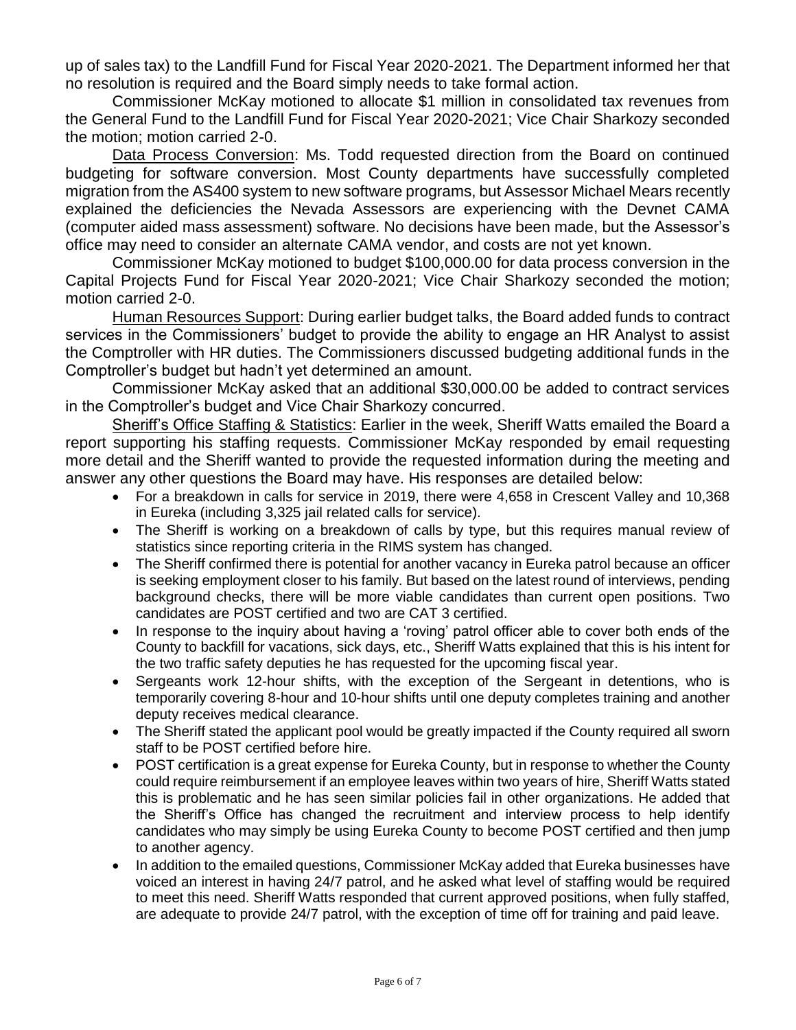up of sales tax) to the Landfill Fund for Fiscal Year 2020-2021. The Department informed her that no resolution is required and the Board simply needs to take formal action.

Commissioner McKay motioned to allocate \$1 million in consolidated tax revenues from the General Fund to the Landfill Fund for Fiscal Year 2020-2021; Vice Chair Sharkozy seconded the motion; motion carried 2-0.

Data Process Conversion: Ms. Todd requested direction from the Board on continued budgeting for software conversion. Most County departments have successfully completed migration from the AS400 system to new software programs, but Assessor Michael Mears recently explained the deficiencies the Nevada Assessors are experiencing with the Devnet CAMA (computer aided mass assessment) software. No decisions have been made, but the Assessor's office may need to consider an alternate CAMA vendor, and costs are not yet known.

Commissioner McKay motioned to budget \$100,000.00 for data process conversion in the Capital Projects Fund for Fiscal Year 2020-2021; Vice Chair Sharkozy seconded the motion; motion carried 2-0.

Human Resources Support: During earlier budget talks, the Board added funds to contract services in the Commissioners' budget to provide the ability to engage an HR Analyst to assist the Comptroller with HR duties. The Commissioners discussed budgeting additional funds in the Comptroller's budget but hadn't yet determined an amount.

Commissioner McKay asked that an additional \$30,000.00 be added to contract services in the Comptroller's budget and Vice Chair Sharkozy concurred.

Sheriff's Office Staffing & Statistics: Earlier in the week, Sheriff Watts emailed the Board a report supporting his staffing requests. Commissioner McKay responded by email requesting more detail and the Sheriff wanted to provide the requested information during the meeting and answer any other questions the Board may have. His responses are detailed below:

- For a breakdown in calls for service in 2019, there were 4,658 in Crescent Valley and 10,368 in Eureka (including 3,325 jail related calls for service).
- The Sheriff is working on a breakdown of calls by type, but this requires manual review of statistics since reporting criteria in the RIMS system has changed.
- The Sheriff confirmed there is potential for another vacancy in Eureka patrol because an officer is seeking employment closer to his family. But based on the latest round of interviews, pending background checks, there will be more viable candidates than current open positions. Two candidates are POST certified and two are CAT 3 certified.
- In response to the inquiry about having a 'roving' patrol officer able to cover both ends of the County to backfill for vacations, sick days, etc., Sheriff Watts explained that this is his intent for the two traffic safety deputies he has requested for the upcoming fiscal year.
- Sergeants work 12-hour shifts, with the exception of the Sergeant in detentions, who is temporarily covering 8-hour and 10-hour shifts until one deputy completes training and another deputy receives medical clearance.
- The Sheriff stated the applicant pool would be greatly impacted if the County required all sworn staff to be POST certified before hire.
- POST certification is a great expense for Eureka County, but in response to whether the County could require reimbursement if an employee leaves within two years of hire, Sheriff Watts stated this is problematic and he has seen similar policies fail in other organizations. He added that the Sheriff's Office has changed the recruitment and interview process to help identify candidates who may simply be using Eureka County to become POST certified and then jump to another agency.
- In addition to the emailed questions, Commissioner McKay added that Eureka businesses have voiced an interest in having 24/7 patrol, and he asked what level of staffing would be required to meet this need. Sheriff Watts responded that current approved positions, when fully staffed, are adequate to provide 24/7 patrol, with the exception of time off for training and paid leave.